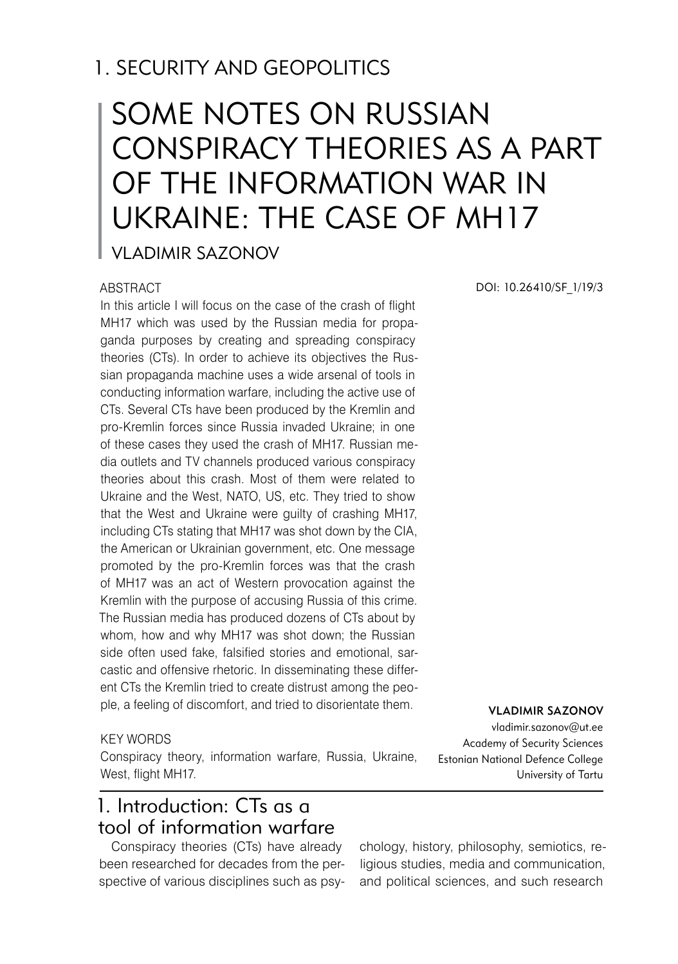# 1. SECURITY AND GEOPOLITICS

# SOME NOTES ON RUSSIAN CONSPIRACY THEORIES AS A PART OF THE INFORMATION WAR IN UKRAINE: THE CASE OF MH17

Vladimir Sazonov

### ABSTRACT

In this article I will focus on the case of the crash of flight MH17 which was used by the Russian media for propaganda purposes by creating and spreading conspiracy theories (CTs). In order to achieve its objectives the Russian propaganda machine uses a wide arsenal of tools in conducting information warfare, including the active use of CTs. Several CTs have been produced by the Kremlin and pro-Kremlin forces since Russia invaded Ukraine; in one of these cases they used the crash of MH17. Russian media outlets and TV channels produced various conspiracy theories about this crash. Most of them were related to Ukraine and the West, NATO, US, etc. They tried to show that the West and Ukraine were guilty of crashing MH17, including CTs stating that MH17 was shot down by the CIA, the American or Ukrainian government, etc. One message promoted by the pro-Kremlin forces was that the crash of MH17 was an act of Western provocation against the Kremlin with the purpose of accusing Russia of this crime. The Russian media has produced dozens of CTs about by whom, how and why MH17 was shot down; the Russian side often used fake, falsified stories and emotional, sarcastic and offensive rhetoric. In disseminating these different CTs the Kremlin tried to create distrust among the people, a feeling of discomfort, and tried to disorientate them.

#### KEY WORDS

Conspiracy theory, information warfare, Russia, Ukraine, West, flight MH17.

# 1. Introduction: CTs as a tool of information warfare

Conspiracy theories (CTs) have already been researched for decades from the perspective of various disciplines such as psyDOI: 10.26410/SF\_1/19/3

Vladimir Sazonov

vladimir.sazonov@ut.ee Academy of Security Sciences Estonian National Defence College University of Tartu

chology, history, philosophy, semiotics, religious studies, media and communication, and political sciences, and such research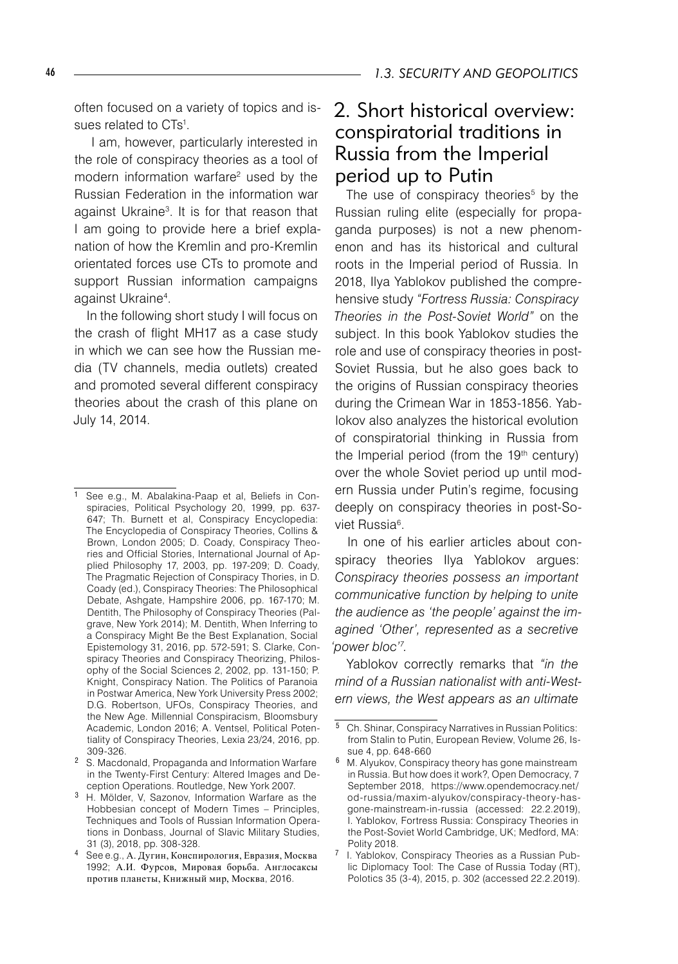often focused on a variety of topics and issues related to CTs<sup>1</sup>.

I am, however, particularly interested in the role of conspiracy theories as a tool of modern information warfare<sup>2</sup> used by the Russian Federation in the information war against Ukraine3 . It is for that reason that I am going to provide here a brief explanation of how the Kremlin and pro-Kremlin orientated forces use CTs to promote and support Russian information campaigns against Ukraine4 .

In the following short study I will focus on the crash of flight MH17 as a case study in which we can see how the Russian media (TV channels, media outlets) created and promoted several different conspiracy theories about the crash of this plane on July 14, 2014.

# 2. Short historical overview: conspiratorial traditions in Russia from the Imperial period up to Putin

The use of conspiracy theories<sup>5</sup> by the Russian ruling elite (especially for propaganda purposes) is not a new phenomenon and has its historical and cultural roots in the Imperial period of Russia. In 2018, Ilya Yablokov published the comprehensive study *"Fortress Russia: Conspiracy Theories in the Post-Soviet World"* on the subject. In this book Yablokov studies the role and use of conspiracy theories in post-Soviet Russia, but he also goes back to the origins of Russian conspiracy theories during the Crimean War in 1853-1856. Yablokov also analyzes the historical evolution of conspiratorial thinking in Russia from the Imperial period (from the  $19<sup>th</sup>$  century) over the whole Soviet period up until modern Russia under Putin's regime, focusing deeply on conspiracy theories in post-Soviet Russia<sup>6</sup>.

In one of his earlier articles about conspiracy theories Ilya Yablokov argues: *Conspiracy theories possess an important communicative function by helping to unite the audience as 'the people' against the imagined 'Other', represented as a secretive 'power bloc' .* 

Yablokov correctly remarks that *"in the mind of a Russian nationalist with anti-Western views, the West appears as an ultimate* 

See e.g., M. Abalakina-Paap et al, Beliefs in Conspiracies, Political Psychology 20, 1999, pp. 637- 647; Th. Burnett et al, Conspiracy Encyclopedia: The Encyclopedia of Conspiracy Theories, Collins & Brown, London 2005; D. Coady, Conspiracy Theories and Official Stories, International Journal of Applied Philosophy 17, 2003, pp. 197-209; D. Coady, The Pragmatic Rejection of Conspiracy Thories, in D. Coady (ed.), Conspiracy Theories: The Philosophical Debate, Ashgate, Hampshire 2006, pp. 167-170; M. Dentith, The Philosophy of Conspiracy Theories (Palgrave, New York 2014); M. Dentith, When Inferring to a Conspiracy Might Be the Best Explanation, Social Epistemology 31, 2016, pp. 572-591; S. Clarke, Conspiracy Theories and Conspiracy Theorizing, Philosophy of the Social Sciences 2, 2002, pp. 131-150; P. Knight, Conspiracy Nation. The Politics of Paranoia in Postwar America, New York University Press 2002; D.G. Robertson, UFOs, Conspiracy Theories, and the New Age. Millennial Conspiracism, Bloomsbury Academic, London 2016; A. Ventsel, Political Potentiality of Conspiracy Theories, Lexia 23/24, 2016, pp. 309-326.

S. Macdonald, Propaganda and Information Warfare in the Twenty-First Century: Altered Images and Deception Operations. Routledge, New York 2007.

H. Mölder, V, Sazonov, Information Warfare as the Hobbesian concept of Modern Times – Principles, Techniques and Tools of Russian Information Operations in Donbass, Journal of Slavic Military Studies, 31 (3), 2018, pp. 308-328.

See e.g., А. Дугин, Конспирология, Евразия, Москва 1992; А.И. Фурсов, Мировая борьба. Англосаксы против планеты, Книжный мир, Москва, 2016.

Ch. Shinar, Conspiracy Narratives in Russian Politics: from Stalin to Putin, European Review, Volume 26, Issue 4, pp. 648-660

<sup>&</sup>lt;sup>6</sup> M. Alyukov, Conspiracy theory has gone mainstream in Russia. But how does it work?, Open Democracy, 7 September 2018, https://www.opendemocracy.net/ od-russia/maxim-alyukov/conspiracy-theory-hasgone-mainstream-in-russia (accessed: 22.2.2019), I. Yablokov, Fortress Russia: Conspiracy Theories in the Post-Soviet World Cambridge, UK; Medford, MA: Polity 2018.

<sup>&</sup>lt;sup>7</sup> I. Yablokov, Conspiracy Theories as a Russian Public Diplomacy Tool: The Case of Russia Today (RT), Polotics 35 (3-4), 2015, p. 302 (accessed 22.2.2019).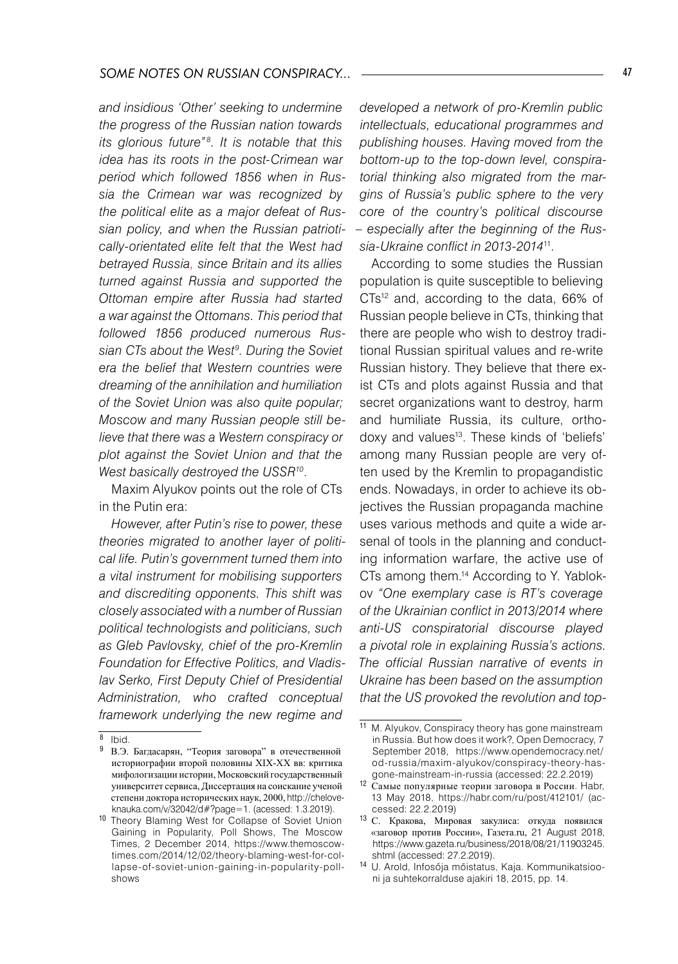*and insidious 'Other' seeking to undermine the progress of the Russian nation towards its glorious future*<sup>"8</sup>. It is notable that this *idea has its roots in the post-Crimean war period which followed 1856 when in Russia the Crimean war was recognized by the political elite as a major defeat of Russian policy, and when the Russian patriotically-orientated elite felt that the West had betrayed Russia, since Britain and its allies turned against Russia and supported the Ottoman empire after Russia had started a war against the Ottomans. This period that followed 1856 produced numerous Rus*sian CTs about the West<sup>9</sup>. During the Soviet *era the belief that Western countries were dreaming of the annihilation and humiliation of the Soviet Union was also quite popular; Moscow and many Russian people still believe that there was a Western conspiracy or plot against the Soviet Union and that the West basically destroyed the USSR10*.

Maxim Alyukov points out the role of CTs in the Putin era:

*However, after Putin's rise to power, these theories migrated to another layer of political life. Putin's government turned them into a vital instrument for mobilising supporters and discrediting opponents. This shift was closely associated with a number of Russian political technologists and politicians, such as Gleb Pavlovsky, chief of the pro-Kremlin Foundation for Effective Politics, and Vladislav Serko, First Deputy Chief of Presidential Administration, who crafted conceptual framework underlying the new regime and* 

*developed a network of pro-Kremlin public intellectuals, educational programmes and publishing houses. Having moved from the bottom-up to the top-down level, conspiratorial thinking also migrated from the margins of Russia's public sphere to the very core of the country's political discourse – especially after the beginning of the Russia-Ukraine conflict in 2013-2014*11.

According to some studies the Russian population is quite susceptible to believing CTs12 and, according to the data, 66% of Russian people believe in CTs, thinking that there are people who wish to destroy traditional Russian spiritual values and re-write Russian history. They believe that there exist CTs and plots against Russia and that secret organizations want to destroy, harm and humiliate Russia, its culture, orthodoxy and values13. These kinds of 'beliefs' among many Russian people are very often used by the Kremlin to propagandistic ends. Nowadays, in order to achieve its objectives the Russian propaganda machine uses various methods and quite a wide arsenal of tools in the planning and conducting information warfare, the active use of CTs among them.14 According to Y. Yablokov *"One exemplary case is RT's coverage of the Ukrainian conflict in 2013/2014 where anti-US conspiratorial discourse played a pivotal role in explaining Russia's actions. The official Russian narrative of events in Ukraine has been based on the assumption that the US provoked the revolution and top-*

 $8$  Ibid.

В.Э. Багдасарян, "Теория заговора" в отечественной историографии второй половины XIX-XX вв: критика мифологизации истории, Московский государственный университет сервиса, Диссертация на соискание ученой степени доктора исторических наук, 2000, http://cheloveknauka.com/v/32042/d#?page=1. (acessed: 1.3.2019).

<sup>10</sup> Theory Blaming West for Collapse of Soviet Union Gaining in Popularity, Poll Shows, The Moscow Times, 2 December 2014, https://www.themoscowtimes.com/2014/12/02/theory-blaming-west-for-collapse-of-soviet-union-gaining-in-popularity-pollshows

 $11$  M. Alyukov, Conspiracy theory has gone mainstream in Russia. But how does it work?, Open Democracy, 7 September 2018, https://www.opendemocracy.net/ od-russia/maxim-alyukov/conspiracy-theory-hasgone-mainstream-in-russia (accessed: 22.2.2019)

<sup>12</sup> Самые популярные теории заговора в России. Habr, 13 May 2018, https://habr.com/ru/post/412101/ (accessed: 22.2.2019)

<sup>13</sup> С. Кракова, Мировая закулиса: откуда появился «заговор против России», Газета.ru, 21 August 2018, https://www.gazeta.ru/business/2018/08/21/11903245. shtml (accessed: 27.2.2019).

<sup>14</sup> U. Arold, Infosőja mőistatus, Kaja. Kommunikatsiooni ja suhtekorralduse ajakiri 18, 2015, pp. 14.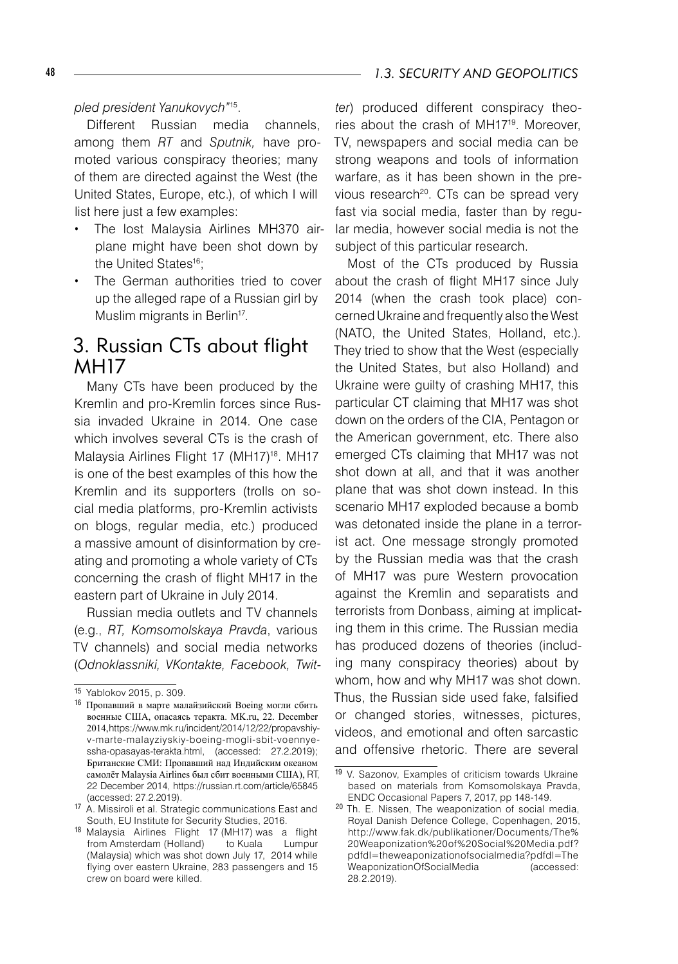#### *pled president Yanukovych"*15.

Different Russian media channels, among them *RT* and *Sputnik,* have promoted various conspiracy theories; many of them are directed against the West (the United States, Europe, etc.), of which I will list here just a few examples:

- The lost Malaysia Airlines MH370 airplane might have been shot down by the United States<sup>16</sup>:
- The German authorities tried to cover up the alleged rape of a Russian girl by Muslim migrants in Berlin<sup>17</sup>.

# 3. Russian CTs about flight **MH17**

Many CTs have been produced by the Kremlin and pro-Kremlin forces since Russia invaded Ukraine in 2014. One case which involves several CTs is the crash of Malaysia Airlines Flight 17 (MH17)<sup>18</sup>. MH17 is one of the best examples of this how the Kremlin and its supporters (trolls on social media platforms, pro-Kremlin activists on blogs, regular media, etc.) produced a massive amount of disinformation by creating and promoting a whole variety of CTs concerning the crash of flight MH17 in the eastern part of Ukraine in July 2014.

Russian media outlets and TV channels (e.g., *RT, Komsomolskaya Pravda*, various TV channels) and social media networks (*Odnoklassniki, VKontakte, Facebook, Twit-*

*ter*) produced different conspiracy theories about the crash of MH1719. Moreover, TV, newspapers and social media can be strong weapons and tools of information warfare, as it has been shown in the previous research<sup>20</sup>. CTs can be spread very fast via social media, faster than by regular media, however social media is not the subject of this particular research.

Most of the CTs produced by Russia about the crash of flight MH17 since July 2014 (when the crash took place) concerned Ukraine and frequently also the West (NATO, the United States, Holland, etc.). They tried to show that the West (especially the United States, but also Holland) and Ukraine were guilty of crashing MH17, this particular CT claiming that MH17 was shot down on the orders of the CIA, Pentagon or the American government, etc. There also emerged CTs claiming that MH17 was not shot down at all, and that it was another plane that was shot down instead. In this scenario MH17 exploded because a bomb was detonated inside the plane in a terrorist act. One message strongly promoted by the Russian media was that the crash of MH17 was pure Western provocation against the Kremlin and separatists and terrorists from Donbass, aiming at implicating them in this crime. The Russian media has produced dozens of theories (including many conspiracy theories) about by whom, how and why MH17 was shot down. Thus, the Russian side used fake, falsified or changed stories, witnesses, pictures, videos, and emotional and often sarcastic and offensive rhetoric. There are several

<sup>15</sup> Yablokov 2015, p. 309.

<sup>16</sup> Пропавший в марте малайзийский Boeing могли сбить военные США, опасаясь теракта. MK.ru, 22. December 2014, https://www.mk.ru/incident/2014/12/22/propavshiyv-marte-malayziyskiy-boeing-mogli-sbit-voennyessha-opasayas-terakta.html, (accessed: 27.2.2019); Британские СМИ: Пропавший над Индийским океаном самолёт Malaysia Airlines был сбит военными США), RT, 22 December 2014, https://russian.rt.com/article/65845 (accessed: 27.2.2019).

<sup>17</sup> A. Missiroli et al. Strategic communications East and South, EU Institute for Security Studies, 2016.

<sup>18</sup> Malaysia Airlines Flight 17 (MH17) was a flight from Amsterdam (Holland) to Kuala Lumpur (Malaysia) which was shot down July 17, 2014 while flying over eastern Ukraine, 283 passengers and 15 crew on board were killed.

<sup>19</sup> V. Sazonov, Examples of criticism towards Ukraine based on materials from Komsomolskaya Pravda, ENDC Occasional Papers 7, 2017, pp 148-149.

<sup>20</sup> Th. E. Nissen, The weaponization of social media, Royal Danish Defence College, Copenhagen, 2015, http://www.fak.dk/publikationer/Documents/The% 20Weaponization%20of%20Social%20Media.pdf? pdfdl=theweaponizationofsocialmedia?pdfdl=The WeaponizationOfSocialMedia (accessed: 28.2.2019).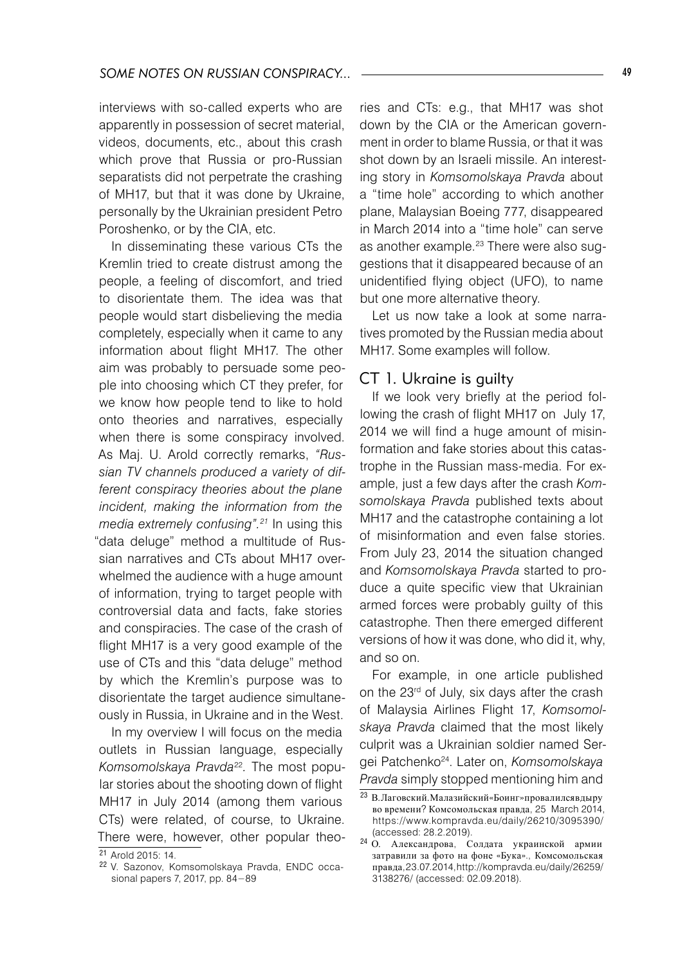interviews with so-called experts who are apparently in possession of secret material, videos, documents, etc., about this crash which prove that Russia or pro-Russian separatists did not perpetrate the crashing of MH17, but that it was done by Ukraine, personally by the Ukrainian president Petro Poroshenko, or by the CIA, etc.

In disseminating these various CTs the Kremlin tried to create distrust among the people, a feeling of discomfort, and tried to disorientate them. The idea was that people would start disbelieving the media completely, especially when it came to any information about flight MH17. The other aim was probably to persuade some people into choosing which CT they prefer, for we know how people tend to like to hold onto theories and narratives, especially when there is some conspiracy involved. As Maj. U. Arold correctly remarks, *"Russian TV channels produced a variety of different conspiracy theories about the plane incident, making the information from the media extremely confusing".21* In using this "data deluge" method a multitude of Russian narratives and CTs about MH17 overwhelmed the audience with a huge amount of information, trying to target people with controversial data and facts, fake stories and conspiracies. The case of the crash of flight MH17 is a very good example of the use of CTs and this "data deluge" method by which the Kremlin's purpose was to disorientate the target audience simultaneously in Russia, in Ukraine and in the West.

In my overview I will focus on the media outlets in Russian language, especially *Komsomolskaya Pravda*<sup>22</sup>*.* The most popular stories about the shooting down of flight MH17 in July 2014 (among them various CTs) were related, of course, to Ukraine. There were, however, other popular theories and CTs: e.g., that MH17 was shot down by the CIA or the American government in order to blame Russia, or that it was shot down by an Israeli missile. An interesting story in *Komsomolskaya Pravda* about a "time hole" according to which another plane, Malaysian Boeing 777, disappeared in March 2014 into a "time hole" can serve as another example.<sup>23</sup> There were also suggestions that it disappeared because of an unidentified flying object (UFO), to name but one more alternative theory.

Let us now take a look at some narratives promoted by the Russian media about MH17. Some examples will follow.

#### CT 1. Ukraine is guilty

If we look very briefly at the period following the crash of flight MH17 on July 17, 2014 we will find a huge amount of misinformation and fake stories about this catastrophe in the Russian mass-media. For example, just a few days after the crash *Komsomolskaya Pravda* published texts about MH17 and the catastrophe containing a lot of misinformation and even false stories. From July 23, 2014 the situation changed and *Komsomolskaya Pravda* started to produce a quite specific view that Ukrainian armed forces were probably guilty of this catastrophe. Then there emerged different versions of how it was done, who did it, why, and so on.

For example, in one article published on the 23<sup>rd</sup> of July, six days after the crash of Malaysia Airlines Flight 17, *Komsomolskaya Pravda* claimed that the most likely culprit was a Ukrainian soldier named Sergei Patchenko24. Later on, *Komsomolskaya Pravda* simply stopped mentioning him and

<sup>&</sup>lt;sup>21</sup> Arold 2015: 14.

<sup>22</sup> V. Sazonov, Komsomolskaya Pravda, ENDC occasional papers 7, 2017, pp. 84−89

<sup>23</sup> В. Лаговский.Малазийский«Боинг»провалился в дыру во времени? Комсомольская правда, 25 March 2014, https://www.kompravda.eu/daily/26210/3095390/ (accessed: 28.2.2019).

<sup>24</sup> О. Александрова, Солдата украинской армии затравили за фото на фоне «Бука»., Комсомольская правда, 23.07.2014, http://kompravda.eu/daily/26259/ 3138276/ (accessed: 02.09.2018).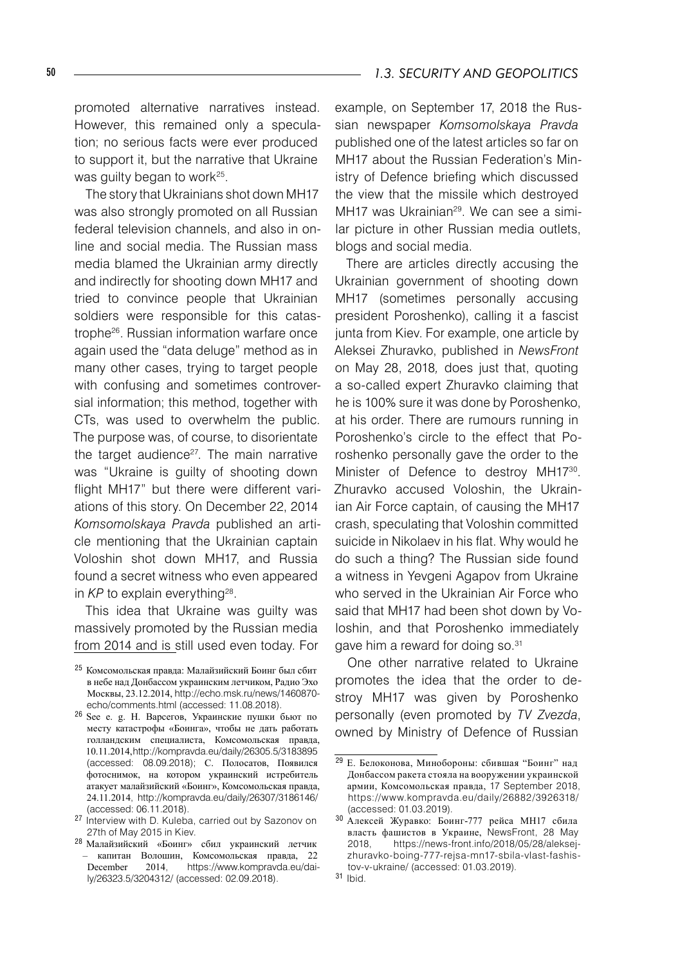promoted alternative narratives instead. However, this remained only a speculation; no serious facts were ever produced to support it, but the narrative that Ukraine was quilty began to work<sup>25</sup>.

The story that Ukrainians shot down MH17 was also strongly promoted on all Russian federal television channels, and also in online and social media. The Russian mass media blamed the Ukrainian army directly and indirectly for shooting down MH17 and tried to convince people that Ukrainian soldiers were responsible for this catastrophe26. Russian information warfare once again used the "data deluge" method as in many other cases, trying to target people with confusing and sometimes controversial information; this method, together with CTs, was used to overwhelm the public. The purpose was, of course, to disorientate the target audience<sup>27</sup>. The main narrative was "Ukraine is guilty of shooting down flight MH17" but there were different variations of this story. On December 22, 2014 *Komsomolskaya Pravda* published an article mentioning that the Ukrainian captain Voloshin shot down MH17, and Russia found a secret witness who even appeared in *KP* to explain everything<sup>28</sup>.

This idea that Ukraine was guilty was massively promoted by the Russian media from 2014 and is still used even today. For

<sup>28</sup> Малайзийский «Боинг» сбил украинский летчик – капитан Волошин, Комсомольская правда, 22 December 2014, https://www.kompravda.eu/daily/26323.5/3204312/ (accessed: 02.09.2018).

example, on September 17, 2018 the Russian newspaper *Komsomolskaya Pravda* published one of the latest articles so far on MH17 about the Russian Federation's Ministry of Defence briefing which discussed the view that the missile which destroyed MH17 was Ukrainian<sup>29</sup>. We can see a similar picture in other Russian media outlets, blogs and social media.

There are articles directly accusing the Ukrainian government of shooting down MH17 (sometimes personally accusing president Poroshenko), calling it a fascist junta from Kiev. For example, one article by Aleksei Zhuravko, published in *NewsFront* on May 28, 2018*,* does just that, quoting a so-called expert Zhuravko claiming that he is 100% sure it was done by Poroshenko, at his order. There are rumours running in Poroshenko's circle to the effect that Poroshenko personally gave the order to the Minister of Defence to destroy MH1730. Zhuravko accused Voloshin, the Ukrainian Air Force captain, of causing the MH17 crash, speculating that Voloshin committed suicide in Nikolaev in his flat. Why would he do such a thing? The Russian side found a witness in Yevgeni Agapov from Ukraine who served in the Ukrainian Air Force who said that MH17 had been shot down by Voloshin, and that Poroshenko immediately gave him a reward for doing so.<sup>31</sup>

One other narrative related to Ukraine promotes the idea that the order to destroy MH17 was given by Poroshenko personally (even promoted by *TV Zvezda*, owned by Ministry of Defence of Russian

<sup>31</sup> Ibid.

<sup>25</sup> Комсомольская правда: Малайзийский Боинг был сбит в небе над Донбассом украинским летчиком, Радио Эхо Москвы, 23.12.2014, http://echo.msk.ru/news/1460870 echo/comments.html (accessed: 11.08.2018).

<sup>26</sup> See e. g. H. Варсегов, Украинские пушки бьют по месту катастрофы «Боинга», чтобы не дать работать голландским специалиста, Комсомольская правда, 10.11.2014, http://kompravda.eu/daily/26305.5/3183895 (accessed: 08.09.2018); С. Полосатов, Появился фотоснимок, на котором украинский истребитель атакует малайзийский «Боинг», Комсомольская правда, 24.11.2014, http://kompravda.eu/daily/26307/3186146/ (accessed: 06.11.2018).

<sup>27</sup> Interview with D. Kuleba, carried out by Sazonov on 27th of May 2015 in Kiev.

<sup>29</sup> E. Белоконова, Минобороны: сбившая "Боинг" над Донбассом ракета стояла на вооружении украинской армии, Комсомольская правда, 17 September 2018, https://www.kompravda.eu/daily/26882/3926318/ (accessed: 01.03.2019).

<sup>30</sup> Алексей Журавко: Боинг-777 рейса МН17 сбила власть фашистов в Украине, NewsFront, 28 May 2018, https://news-front.info/2018/05/28/aleksejzhuravko-boing-777-rejsa-mn17-sbila-vlast-fashistov-v-ukraine/ (accessed: 01.03.2019).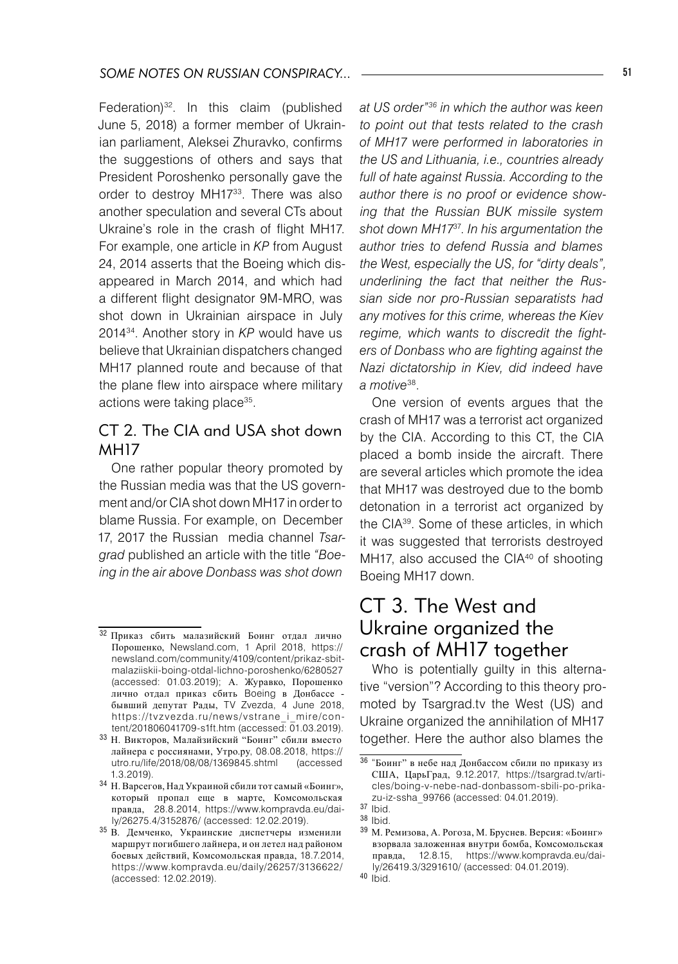Federation)<sup>32</sup>. In this claim (published June 5, 2018) a former member of Ukrainian parliament, Aleksei Zhuravko, confirms the suggestions of others and says that President Poroshenko personally gave the order to destroy MH17<sup>33</sup>. There was also another speculation and several CTs about Ukraine's role in the crash of flight MH17. For example, one article in *KP* from August 24, 2014 asserts that the Boeing which disappeared in March 2014, and which had a different flight designator 9M-MRO, was shot down in Ukrainian airspace in July 201434. Another story in *KP* would have us believe that Ukrainian dispatchers changed MH17 planned route and because of that the plane flew into airspace where military actions were taking place35.

## CT 2. The CIA and USA shot down **MH17**

One rather popular theory promoted by the Russian media was that the US government and/or CIA shot down MH17 in order to blame Russia. For example, on December 17, 2017 the Russian media channel *Tsargrad* published an article with the title *"Boeing in the air above Donbass was shot down* 

*at US order"36 in which the author was keen to point out that tests related to the crash of MH17 were performed in laboratories in the US and Lithuania, i.e., countries already full of hate against Russia. According to the author there is no proof or evidence showing that the Russian BUK missile system shot down MH17*37. *In his argumentation the author tries to defend Russia and blames the West, especially the US, for "dirty deals", underlining the fact that neither the Russian side nor pro-Russian separatists had any motives for this crime, whereas the Kiev regime, which wants to discredit the fighters of Donbass who are fighting against the Nazi dictatorship in Kiev, did indeed have a motive*38.

One version of events argues that the crash of MH17 was a terrorist act organized by the CIA. According to this CT, the CIA placed a bomb inside the aircraft. There are several articles which promote the idea that MH17 was destroyed due to the bomb detonation in a terrorist act organized by the CIA39. Some of these articles, in which it was suggested that terrorists destroyed MH17, also accused the CIA<sup>40</sup> of shooting Boeing MH17 down.

## CT 3. The West and Ukraine organized the crash of MH17 together

Who is potentially guilty in this alternative "version"? According to this theory promoted by Tsargrad.tv the West (US) and Ukraine organized the annihilation of MH17 together. Here the author also blames the

<sup>32</sup> Приказ сбить малазийский Боинг отдал лично Порошенко, Newsland.com, 1 April 2018, https:// newsland.com/community/4109/content/prikaz-sbitmalaziiskii-boing-otdal-lichno-poroshenko/6280527 (accessed: 01.03.2019); А. Журавко, Порошенко лично отдал приказ сбить Boeing в Донбассе бывший депутат Рады, TV Zvezda, 4 June 2018, https://tvzvezda.ru/news/vstrane\_i\_mire/content/201806041709-s1ft.htm (accessed: 01.03.2019).

<sup>33</sup> Н. Викторов, Малайзийский "Боинг" сбили вместо лайнера с россиянами, Утро.ру, 08.08.2018, https:// utro.ru/life/2018/08/08/1369845.shtml (accessed 1.3.2019).

<sup>34</sup> Н. Варсегов, Над Украиной сбили тот самый «Боинг», который пропал еще в марте, Комсомольская правда, 28.8.2014, https://www.kompravda.eu/daily/26275.4/3152876/ (accessed: 12.02.2019).

<sup>35</sup> В. Демченко, Украинские диспетчеры изменили маршрут погибшего лайнера, и он летел над районом боевых действий, Комсомольская правда, 18.7.2014, https://www.kompravda.eu/daily/26257/3136622/ (accessed: 12.02.2019).

<sup>36</sup> "Боинг" в небе над Донбассом сбили по приказу из США, ЦарьГрад, 9.12.2017, https://tsargrad.tv/articles/boing-v-nebe-nad-donbassom-sbili-po-prikazu-iz-ssha\_99766 (accessed: 04.01.2019).

<sup>37</sup> Ibid.

<sup>38</sup> Ibid.

<sup>39</sup> М. Ремизова, А. Рогоза, М. Бруснев. Версия: «Боинг» взорвала заложенная внутри бомба, Комсомольская правда, 12.8.15, https://www.kompravda.eu/daily/26419.3/3291610/ (accessed: 04.01.2019). <sup>40</sup> Ibid.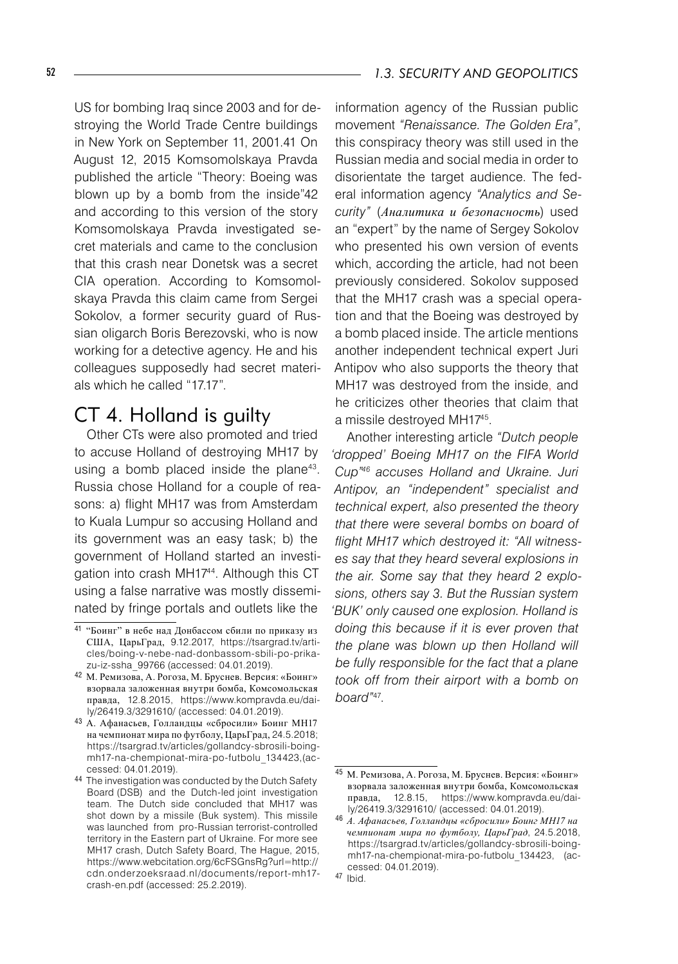US for bombing Iraq since 2003 and for destroying the World Trade Centre buildings in New York on September 11, 2001.41 On August 12, 2015 Komsomolskaya Pravda published the article "Theory: Boeing was blown up by a bomb from the inside"42 and according to this version of the story Komsomolskaya Pravda investigated secret materials and came to the conclusion that this crash near Donetsk was a secret CIA operation. According to Komsomolskaya Pravda this claim came from Sergei Sokolov, a former security guard of Russian oligarch Boris Berezovski, who is now working for a detective agency. He and his colleagues supposedly had secret materials which he called "17.17".

## CT 4. Holland is guilty

Other CTs were also promoted and tried to accuse Holland of destroying MH17 by using a bomb placed inside the plane<sup>43</sup>. Russia chose Holland for a couple of reasons: a) flight MH17 was from Amsterdam to Kuala Lumpur so accusing Holland and its government was an easy task; b) the government of Holland started an investigation into crash MH1744. Although this CT using a false narrative was mostly disseminated by fringe portals and outlets like the

information agency of the Russian public movement *"Renaissance. The Golden Era"*, this conspiracy theory was still used in the Russian media and social media in order to disorientate the target audience. The federal information agency *"Analytics and Security"* (*Аналитика и безопасность*) used an "expert" by the name of Sergey Sokolov who presented his own version of events which, according the article, had not been previously considered. Sokolov supposed that the MH17 crash was a special operation and that the Boeing was destroyed by a bomb placed inside. The article mentions another independent technical expert Juri Antipov who also supports the theory that MH17 was destroyed from the inside, and he criticizes other theories that claim that a missile destroyed MH1745.

Another interesting article *"Dutch people 'dropped' Boeing MH17 on the FIFA World Cup"46 accuses Holland and Ukraine. Juri Antipov, an "independent" specialist and technical expert, also presented the theory that there were several bombs on board of flight MH17 which destroyed it: "All witnesses say that they heard several explosions in the air. Some say that they heard 2 explosions, others say 3. But the Russian system 'BUK' only caused one explosion. Holland is doing this because if it is ever proven that the plane was blown up then Holland will be fully responsible for the fact that a plane took off from their airport with a bomb on board"*47.

<sup>41</sup> "Боинг" в небе над Донбассом сбили по приказу из США, ЦарьГрад, 9.12.2017, https://tsargrad.tv/articles/boing-v-nebe-nad-donbassom-sbili-po-prikazu-iz-ssha\_99766 (accessed: 04.01.2019).

<sup>42</sup> М. Ремизова, А. Рогоза, М. Бруснев. Версия: «Боинг» взорвала заложенная внутри бомба, Комсомольская правда, 12.8.2015, https://www.kompravda.eu/daily/26419.3/3291610/ (accessed: 04.01.2019).

<sup>43</sup> A. Aфанасьев, Голландцы «сбросили» Боинг MH17 на чемпионат мира по футболу, ЦарьГрад, 24.5.2018; https://tsargrad.tv/articles/gollandcy-sbrosili-boingmh17-na-chempionat-mira-po-futbolu\_134423,(accessed: 04.01.2019).

<sup>44</sup> The investigation was conducted by the Dutch Safety Board (DSB) and the Dutch-led joint investigation team. The Dutch side concluded that MH17 was shot down by a missile (Buk system). This missile was launched from pro-Russian terrorist-controlled territory in the Eastern part of Ukraine. For more see MH17 crash, Dutch Safety Board, The Hague, 2015, https://www.webcitation.org/6cFSGnsRg?url=http:// cdn.onderzoeksraad.nl/documents/report-mh17 crash-en.pdf (accessed: 25.2.2019).

<sup>45</sup> М. Ремизова, А. Рогоза, М. Бруснев. Версия: «Боинг» взорвала заложенная внутри бомба, Комсомольская правда, 12.8.15, https://www.kompravda.eu/daily/26419.3/3291610/ (accessed: 04.01.2019).

<sup>46</sup> *A. Aфанасьев, Голландцы «сбросили» Боинг MH17 на чемпионат мира по футболу, ЦарьГрад*, 24.5.2018, https://tsargrad.tv/articles/gollandcy-sbrosili-boingmh17-na-chempionat-mira-po-futbolu\_134423, (accessed: 04.01.2019).

<sup>47</sup> Ibid.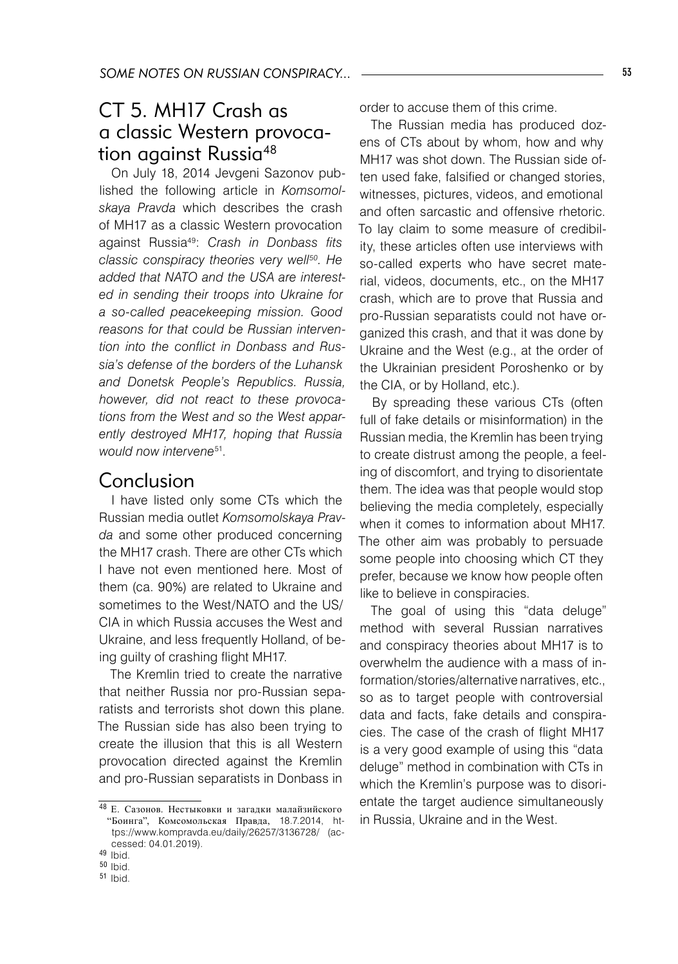## CT 5. MH17 Crash as a classic Western provocation against Russia<sup>48</sup>

On July 18, 2014 Jevgeni Sazonov published the following article in *Komsomolskaya Pravda* which describes the crash of MH17 as a classic Western provocation against Russia49: *Crash in Donbass fits classic conspiracy theories very well50. He added that NATO and the USA are interested in sending their troops into Ukraine for a so-called peacekeeping mission. Good reasons for that could be Russian intervention into the conflict in Donbass and Russia's defense of the borders of the Luhansk and Donetsk People's Republics. Russia, however, did not react to these provocations from the West and so the West apparently destroyed MH17, hoping that Russia would now intervene*51.

## Conclusion

I have listed only some CTs which the Russian media outlet *Komsomolskaya Pravda* and some other produced concerning the MH17 crash. There are other CTs which I have not even mentioned here. Most of them (ca. 90%) are related to Ukraine and sometimes to the West/NATO and the US/ CIA in which Russia accuses the West and Ukraine, and less frequently Holland, of being guilty of crashing flight MH17.

The Kremlin tried to create the narrative that neither Russia nor pro-Russian separatists and terrorists shot down this plane. The Russian side has also been trying to create the illusion that this is all Western provocation directed against the Kremlin and pro-Russian separatists in Donbass in

order to accuse them of this crime.

The Russian media has produced dozens of CTs about by whom, how and why MH17 was shot down. The Russian side often used fake, falsified or changed stories, witnesses, pictures, videos, and emotional and often sarcastic and offensive rhetoric. To lay claim to some measure of credibility, these articles often use interviews with so-called experts who have secret material, videos, documents, etc., on the MH17 crash, which are to prove that Russia and pro-Russian separatists could not have organized this crash, and that it was done by Ukraine and the West (e.g., at the order of the Ukrainian president Poroshenko or by the CIA, or by Holland, etc.).

By spreading these various CTs (often full of fake details or misinformation) in the Russian media, the Kremlin has been trying to create distrust among the people, a feeling of discomfort, and trying to disorientate them. The idea was that people would stop believing the media completely, especially when it comes to information about MH17. The other aim was probably to persuade some people into choosing which CT they prefer, because we know how people often like to believe in conspiracies.

The goal of using this "data deluge" method with several Russian narratives and conspiracy theories about MH17 is to overwhelm the audience with a mass of information/stories/alternative narratives, etc., so as to target people with controversial data and facts, fake details and conspiracies. The case of the crash of flight MH17 is a very good example of using this "data deluge" method in combination with CTs in which the Kremlin's purpose was to disorientate the target audience simultaneously in Russia, Ukraine and in the West.

<sup>48</sup> E. Сазонов. Нестыковки и загадки малайзийского "Боинга", Комсомольская Правда, 18.7.2014, https://www.kompravda.eu/daily/26257/3136728/ (accessed: 04.01.2019).

<sup>49</sup> Ibid.

<sup>50</sup> Ibid.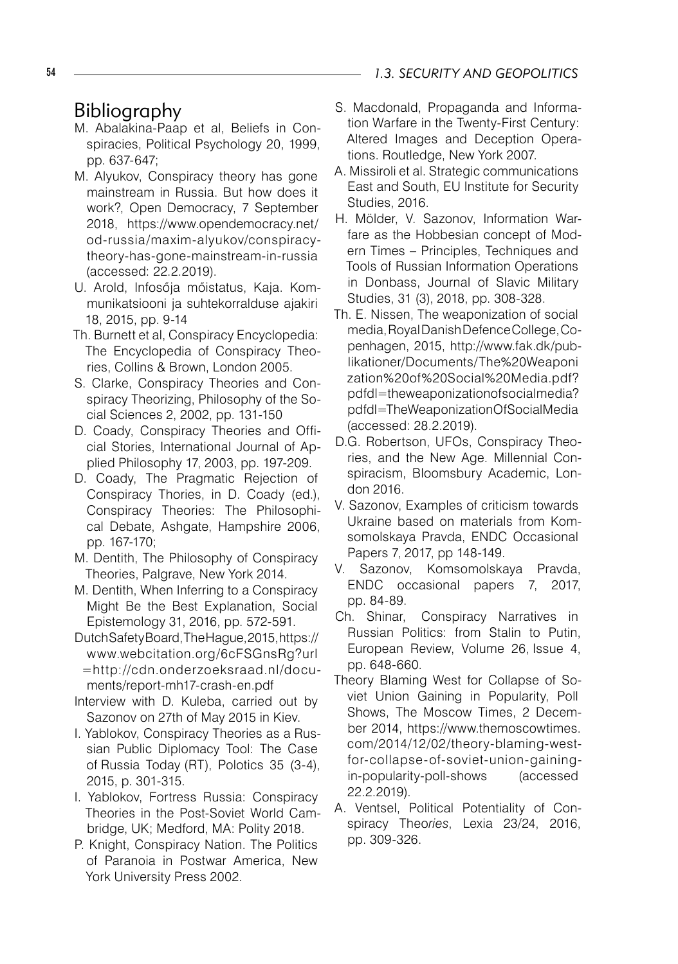## 54 *1.3. SECURITY AND GEOPOLITICS*

## Bibliography

- M. Abalakina-Paap et al, Beliefs in Conspiracies, Political Psychology 20, 1999, pp. 637-647;
- M. Alyukov, Conspiracy theory has gone mainstream in Russia. But how does it work?, Open Democracy, 7 September 2018, https://www.opendemocracy.net/ od-russia/maxim-alyukov/conspiracytheory-has-gone-mainstream-in-russia (accessed: 22.2.2019).
- U. Arold, Infosőja mőistatus, Kaja. Kommunikatsiooni ja suhtekorralduse ajakiri 18, 2015, pp. 9-14
- Th. Burnett et al, Conspiracy Encyclopedia: The Encyclopedia of Conspiracy Theories, Collins & Brown, London 2005.
- S. Clarke, Conspiracy Theories and Conspiracy Theorizing, Philosophy of the Social Sciences 2, 2002, pp. 131-150
- D. Coady, Conspiracy Theories and Official Stories, International Journal of Applied Philosophy 17, 2003, pp. 197-209.
- D. Coady, The Pragmatic Rejection of Conspiracy Thories, in D. Coady (ed.), Conspiracy Theories: The Philosophical Debate, Ashgate, Hampshire 2006, pp. 167-170;
- M. Dentith, The Philosophy of Conspiracy Theories, Palgrave, New York 2014.
- M. Dentith, When Inferring to a Conspiracy Might Be the Best Explanation, Social Epistemology 31, 2016, pp. 572-591.
- Dutch Safety Board, The Hague, 2015, https:// www.webcitation.org/6cFSGnsRg?url =http://cdn.onderzoeksraad.nl/documents/report-mh17-crash-en.pdf
- Interview with D. Kuleba, carried out by Sazonov on 27th of May 2015 in Kiev.
- I. Yablokov, Conspiracy Theories as a Russian Public Diplomacy Tool: The Case of Russia Today (RT), Polotics 35 (3-4), 2015, p. 301-315.
- I. Yablokov, Fortress Russia: Conspiracy Theories in the Post-Soviet World Cambridge, UK; Medford, MA: Polity 2018.
- P. Knight, Conspiracy Nation. The Politics of Paranoia in Postwar America, New York University Press 2002.
- S. Macdonald, Propaganda and Information Warfare in the Twenty-First Century: Altered Images and Deception Operations. Routledge, New York 2007.
- A. Missiroli et al. Strategic communications East and South, EU Institute for Security Studies, 2016.
- H. Mölder, V. Sazonov, Information Warfare as the Hobbesian concept of Modern Times – Principles, Techniques and Tools of Russian Information Operations in Donbass, Journal of Slavic Military Studies, 31 (3), 2018, pp. 308-328.
- Th. E. Nissen, The weaponization of social media,RoyalDanishDefenceCollege,Copenhagen, 2015, http://www.fak.dk/publikationer/Documents/The%20Weaponi zation%20of%20Social%20Media.pdf? pdfdl=theweaponizationofsocialmedia? pdfdl=TheWeaponizationOfSocialMedia (accessed: 28.2.2019).
- D.G. Robertson, UFOs, Conspiracy Theories, and the New Age. Millennial Conspiracism, Bloomsbury Academic, London 2016.
- V. Sazonov, Examples of criticism towards Ukraine based on materials from Komsomolskaya Pravda, ENDC Occasional Papers 7, 2017, pp 148-149.
- V. Sazonov, Komsomolskaya Pravda, ENDC occasional papers 7, 2017, pp. 84-89.
- Ch. Shinar, Conspiracy Narratives in Russian Politics: from Stalin to Putin, European Review, Volume 26, Issue 4, pp. 648-660.
- Theory Blaming West for Collapse of Soviet Union Gaining in Popularity, Poll Shows, The Moscow Times, 2 December 2014, https://www.themoscowtimes. com/2014/12/02/theory-blaming-westfor-collapse-of-soviet-union-gainingin-popularity-poll-shows (accessed 22.2.2019).
- A. Ventsel, Political Potentiality of Conspiracy Theo*ries*, Lexia 23/24, 2016, pp. 309-326.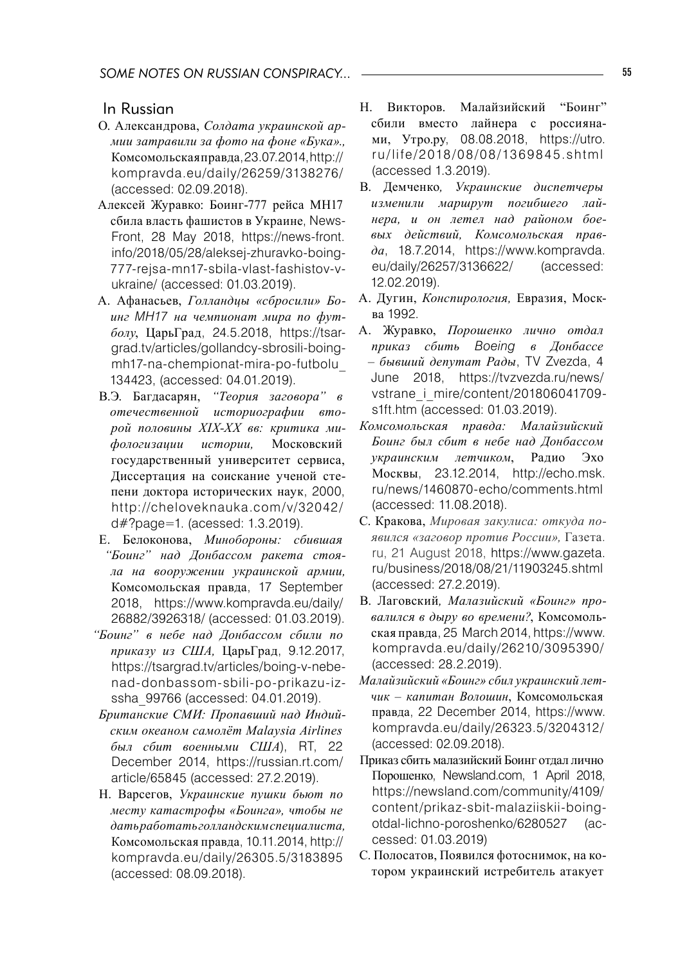## In Russian

- О. Александрова, *Солдата украинской армии затравили за фото на фоне «Бука».,* Комсомольская правда,23.07.2014,http:// kompravda.eu/daily/26259/3138276/ (accessed: 02.09.2018).
- Алексей Журавко: Боинг-777 рейса МН17 сбила власть фашистов в Украине, News-Front, 28 May 2018, https://news-front. info/2018/05/28/aleksej-zhuravko-boing-777-rejsa-mn17-sbila-vlast-fashistov-vukraine/ (accessed: 01.03.2019).
- A. Aфанасьев, *Голландцы «сбросили» Боинг MH17 на чемпионат мира по футболу*, ЦарьГрад, 24.5.2018, https://tsargrad.tv/articles/gollandcy-sbrosili-boingmh17-na-chempionat-mira-po-futbolu\_ 134423, (accessed: 04.01.2019).
- В.Э. Багдасарян, *"Теория заговора" в отечественной историографии второй половины XIX-XX вв: критика мифологизации истории,* Московский государственный университет сервиса, Диссертация на соискание ученой степени доктора исторических наук, 2000, http://cheloveknauka.com/v/32042/ d#?page=1. (acessed: 1.3.2019).
- E. Белоконова, *Минобороны: сбившая "Боинг" над Донбассом ракета стояла на вооружении украинской армии,* Комсомольская правда, 17 September 2018, https://www.kompravda.eu/daily/ 26882/3926318/ (accessed: 01.03.2019).
- *"Боинг" в небе над Донбассом сбили по приказу из США,* ЦарьГрад, 9.12.2017, https://tsargrad.tv/articles/boing-v-nebenad-donbassom-sbili-po-prikazu-izssha\_99766 (accessed: 04.01.2019).
- *Британские СМИ: Пропавший над Индийским океаном самолёт Malaysia Airlines был сбит военными США*), RT, 22 December 2014, https://russian.rt.com/ article/65845 (accessed: 27.2.2019).
- H. Варсегов, *Украинские пушки бьют по месту катастрофы «Боинга», чтобы не дать работать голландским специалиста,* Комсомольская правда, 10.11.2014, http:// kompravda.eu/daily/26305.5/3183895 (accessed: 08.09.2018).
- Н. Викторов. Малайзийский "Боинг" сбили вместо лайнера с россиянами, Утро.ру, 08.08.2018, https://utro. ru/life/2018/08/08/1369845.shtml (accessed 1.3.2019).
- В. Демченко*, Украинские диспетчеры изменили маршрут погибшего лайнера, и он летел над районом боевых действий, Комсомольская правда*, 18.7.2014, https://www.kompravda. eu/daily/26257/3136622/ (accessed: 12.02.2019).
- А. Дугин, *Конспирология,* Евразия, Москва 1992.
- А. Журавко, *Порошенко лично отдал приказ сбить Boeing в Донбассе – бывший депутат Рады*, TV Zvezda, 4 June 2018, https://tvzvezda.ru/news/ vstrane\_i\_mire/content/201806041709s1ft.htm (accessed: 01.03.2019).
- *Комсомольская правда: Малайзийский Боинг был сбит в небе над Донбассом украинским летчиком*, Радио Эхо Москвы, 23.12.2014, http://echo.msk. ru/news/1460870-echo/comments.html (accessed: 11.08.2018).
- С. Кракова, *Мировая закулиса: откуда появился «заговор против России»,* Газета. ru, 21 August 2018, https://www.gazeta. ru/business/2018/08/21/11903245.shtml (accessed: 27.2.2019).
- В. Лаговский*, Малазийский «Боинг» провалился в дыру во времени?*, Комсомольская правда, 25 March 2014, https://www. kompravda.eu/daily/26210/3095390/ (accessed: 28.2.2019).
- *Малайзийский «Боинг» сбил украинский летчик – капитан Волошин*, Комсомольская правда, 22 December 2014, https://www. kompravda.eu/daily/26323.5/3204312/ (accessed: 02.09.2018).
- Приказ сбить малазийский Боинг отдал лично Порошенко, Newsland.com, 1 April 2018, https://newsland.com/community/4109/ content/prikaz-sbit-malaziiskii-boingotdal-lichno-poroshenko/6280527 (accessed: 01.03.2019)
- С. Полосатов, Появился фотоснимок, на котором украинский истребитель атакует